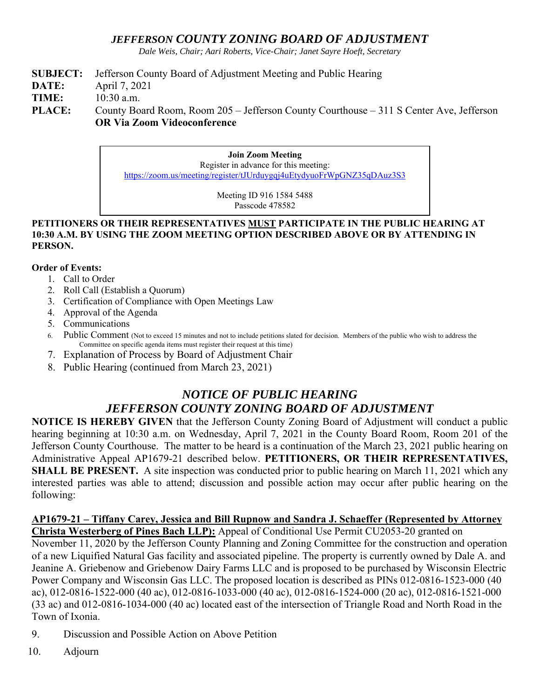### *JEFFERSON COUNTY ZONING BOARD OF ADJUSTMENT*

*Dale Weis, Chair; Aari Roberts, Vice-Chair; Janet Sayre Hoeft, Secretary* 

- **SUBJECT:** Jefferson County Board of Adjustment Meeting and Public Hearing
- **DATE:** April 7, 2021
- **TIME:** 10:30 a.m.

PLACE: County Board Room, Room 205 – Jefferson County Courthouse – 311 S Center Ave, Jefferson **OR Via Zoom Videoconference** 

> **Join Zoom Meeting**  Register in advance for this meeting: https://zoom.us/meeting/register/tJUrduygqj4uEtydyuoFrWpGNZ35qDAuz3S3

> > Meeting ID 916 1584 5488 Passcode 478582

#### **PETITIONERS OR THEIR REPRESENTATIVES MUST PARTICIPATE IN THE PUBLIC HEARING AT 10:30 A.M. BY USING THE ZOOM MEETING OPTION DESCRIBED ABOVE OR BY ATTENDING IN PERSON.**

#### **Order of Events:**

- 1. Call to Order
- 2. Roll Call (Establish a Quorum)
- 3. Certification of Compliance with Open Meetings Law
- 4. Approval of the Agenda
- 5. Communications
- 6. Public Comment (Not to exceed 15 minutes and not to include petitions slated for decision. Members of the public who wish to address the Committee on specific agenda items must register their request at this time)
- 7. Explanation of Process by Board of Adjustment Chair
- 8. Public Hearing (continued from March 23, 2021)

# *NOTICE OF PUBLIC HEARING JEFFERSON COUNTY ZONING BOARD OF ADJUSTMENT*

**NOTICE IS HEREBY GIVEN** that the Jefferson County Zoning Board of Adjustment will conduct a public hearing beginning at 10:30 a.m. on Wednesday, April 7, 2021 in the County Board Room, Room 201 of the Jefferson County Courthouse. The matter to be heard is a continuation of the March 23, 2021 public hearing on Administrative Appeal AP1679-21 described below. **PETITIONERS, OR THEIR REPRESENTATIVES, SHALL BE PRESENT.** A site inspection was conducted prior to public hearing on March 11, 2021 which any interested parties was able to attend; discussion and possible action may occur after public hearing on the following:

## **AP1679-21 – Tiffany Carey, Jessica and Bill Rupnow and Sandra J. Schaeffer (Represented by Attorney**

**Christa Westerberg of Pines Bach LLP):** Appeal of Conditional Use Permit CU2053-20 granted on November 11, 2020 by the Jefferson County Planning and Zoning Committee for the construction and operation of a new Liquified Natural Gas facility and associated pipeline. The property is currently owned by Dale A. and Jeanine A. Griebenow and Griebenow Dairy Farms LLC and is proposed to be purchased by Wisconsin Electric Power Company and Wisconsin Gas LLC. The proposed location is described as PINs 012-0816-1523-000 (40 ac), 012-0816-1522-000 (40 ac), 012-0816-1033-000 (40 ac), 012-0816-1524-000 (20 ac), 012-0816-1521-000 (33 ac) and 012-0816-1034-000 (40 ac) located east of the intersection of Triangle Road and North Road in the Town of Ixonia.

- 9. Discussion and Possible Action on Above Petition
- 10. Adjourn